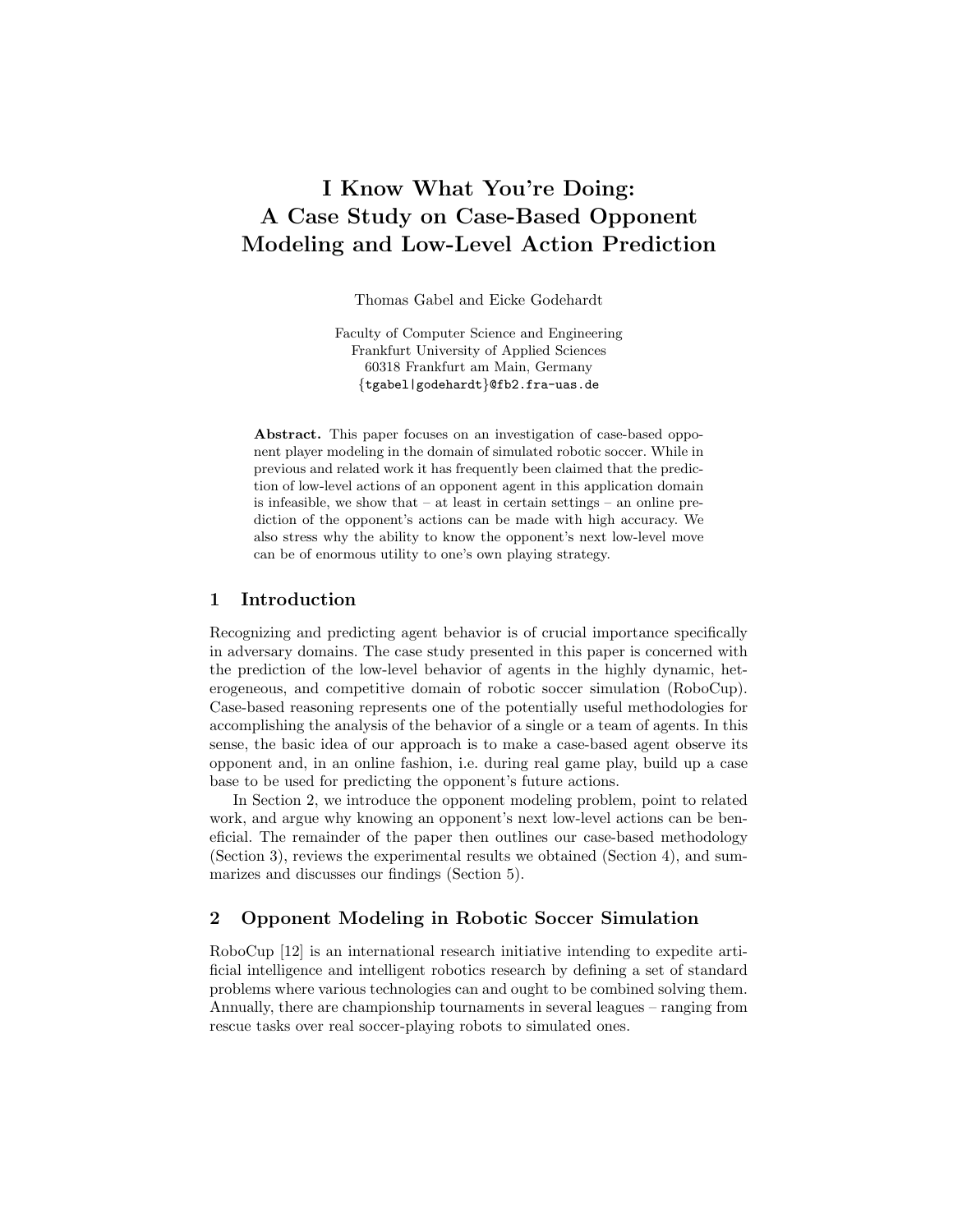# I Know What You're Doing: A Case Study on Case-Based Opponent Modeling and Low-Level Action Prediction

Thomas Gabel and Eicke Godehardt

Faculty of Computer Science and Engineering Frankfurt University of Applied Sciences 60318 Frankfurt am Main, Germany {tgabel|godehardt}@fb2.fra-uas.de

Abstract. This paper focuses on an investigation of case-based opponent player modeling in the domain of simulated robotic soccer. While in previous and related work it has frequently been claimed that the prediction of low-level actions of an opponent agent in this application domain is infeasible, we show that – at least in certain settings – an online prediction of the opponent's actions can be made with high accuracy. We also stress why the ability to know the opponent's next low-level move can be of enormous utility to one's own playing strategy.

## 1 Introduction

Recognizing and predicting agent behavior is of crucial importance specifically in adversary domains. The case study presented in this paper is concerned with the prediction of the low-level behavior of agents in the highly dynamic, heterogeneous, and competitive domain of robotic soccer simulation (RoboCup). Case-based reasoning represents one of the potentially useful methodologies for accomplishing the analysis of the behavior of a single or a team of agents. In this sense, the basic idea of our approach is to make a case-based agent observe its opponent and, in an online fashion, i.e. during real game play, build up a case base to be used for predicting the opponent's future actions.

In Section 2, we introduce the opponent modeling problem, point to related work, and argue why knowing an opponent's next low-level actions can be beneficial. The remainder of the paper then outlines our case-based methodology (Section 3), reviews the experimental results we obtained (Section 4), and summarizes and discusses our findings (Section 5).

# 2 Opponent Modeling in Robotic Soccer Simulation

RoboCup [12] is an international research initiative intending to expedite artificial intelligence and intelligent robotics research by defining a set of standard problems where various technologies can and ought to be combined solving them. Annually, there are championship tournaments in several leagues – ranging from rescue tasks over real soccer-playing robots to simulated ones.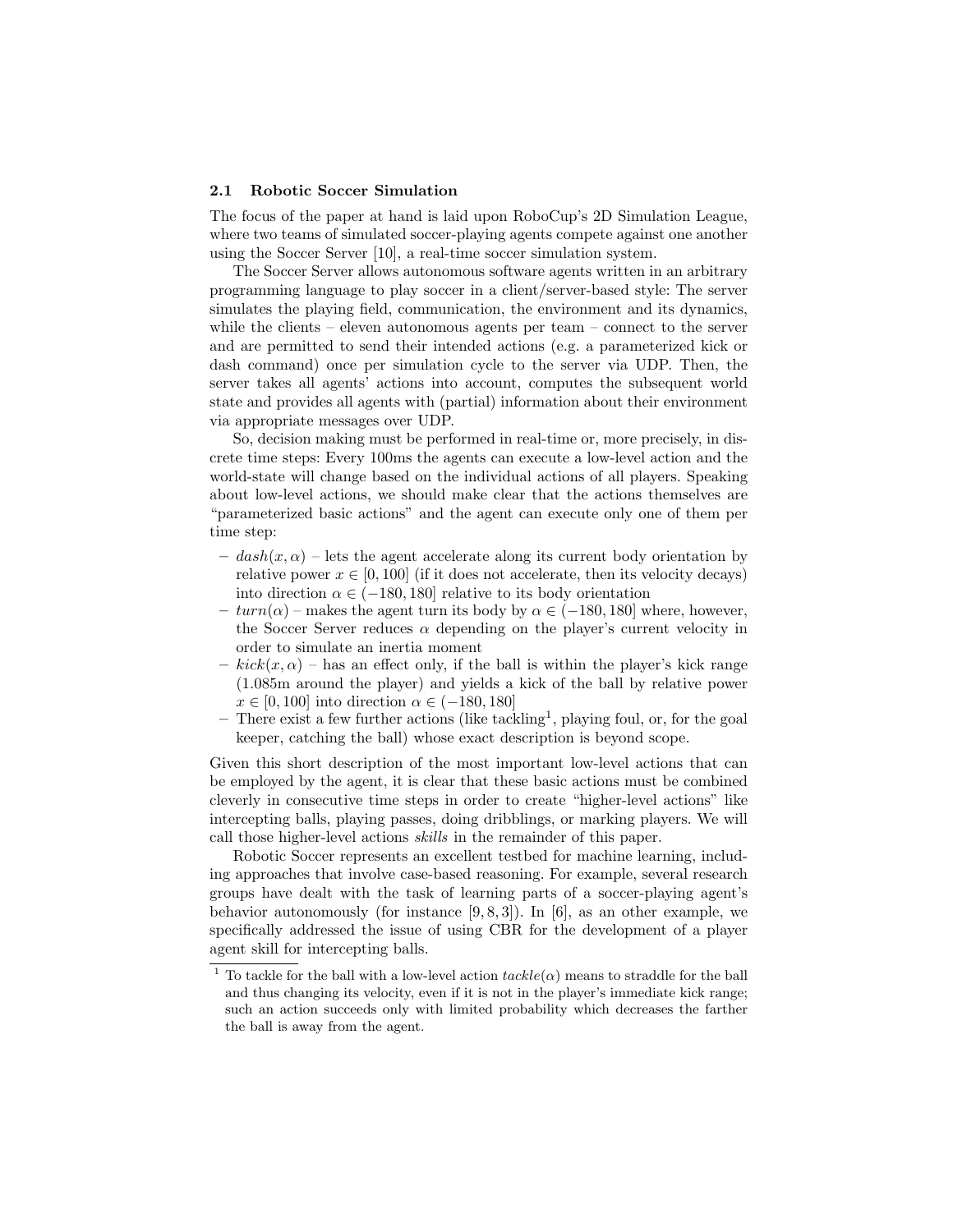### 2.1 Robotic Soccer Simulation

The focus of the paper at hand is laid upon RoboCup's 2D Simulation League, where two teams of simulated soccer-playing agents compete against one another using the Soccer Server [10], a real-time soccer simulation system.

The Soccer Server allows autonomous software agents written in an arbitrary programming language to play soccer in a client/server-based style: The server simulates the playing field, communication, the environment and its dynamics, while the clients – eleven autonomous agents per team – connect to the server and are permitted to send their intended actions (e.g. a parameterized kick or dash command) once per simulation cycle to the server via UDP. Then, the server takes all agents' actions into account, computes the subsequent world state and provides all agents with (partial) information about their environment via appropriate messages over UDP.

So, decision making must be performed in real-time or, more precisely, in discrete time steps: Every 100ms the agents can execute a low-level action and the world-state will change based on the individual actions of all players. Speaking about low-level actions, we should make clear that the actions themselves are "parameterized basic actions" and the agent can execute only one of them per time step:

- $-$  dash $(x, \alpha)$  lets the agent accelerate along its current body orientation by relative power  $x \in [0, 100]$  (if it does not accelerate, then its velocity decays) into direction  $\alpha \in (-180, 180]$  relative to its body orientation
- $turn(\alpha)$  makes the agent turn its body by  $\alpha \in (-180, 180]$  where, however, the Soccer Server reduces  $\alpha$  depending on the player's current velocity in order to simulate an inertia moment
- $kick(x, \alpha)$  has an effect only, if the ball is within the player's kick range (1.085m around the player) and yields a kick of the ball by relative power  $x \in [0, 100]$  into direction  $\alpha \in (-180, 180]$
- $-$  There exist a few further actions (like tackling<sup>1</sup>, playing foul, or, for the goal keeper, catching the ball) whose exact description is beyond scope.

Given this short description of the most important low-level actions that can be employed by the agent, it is clear that these basic actions must be combined cleverly in consecutive time steps in order to create "higher-level actions" like intercepting balls, playing passes, doing dribblings, or marking players. We will call those higher-level actions skills in the remainder of this paper.

Robotic Soccer represents an excellent testbed for machine learning, including approaches that involve case-based reasoning. For example, several research groups have dealt with the task of learning parts of a soccer-playing agent's behavior autonomously (for instance  $[9, 8, 3]$ ). In  $[6]$ , as an other example, we specifically addressed the issue of using CBR for the development of a player agent skill for intercepting balls.

<sup>&</sup>lt;sup>1</sup> To tackle for the ball with a low-level action  $tackle(\alpha)$  means to straddle for the ball and thus changing its velocity, even if it is not in the player's immediate kick range; such an action succeeds only with limited probability which decreases the farther the ball is away from the agent.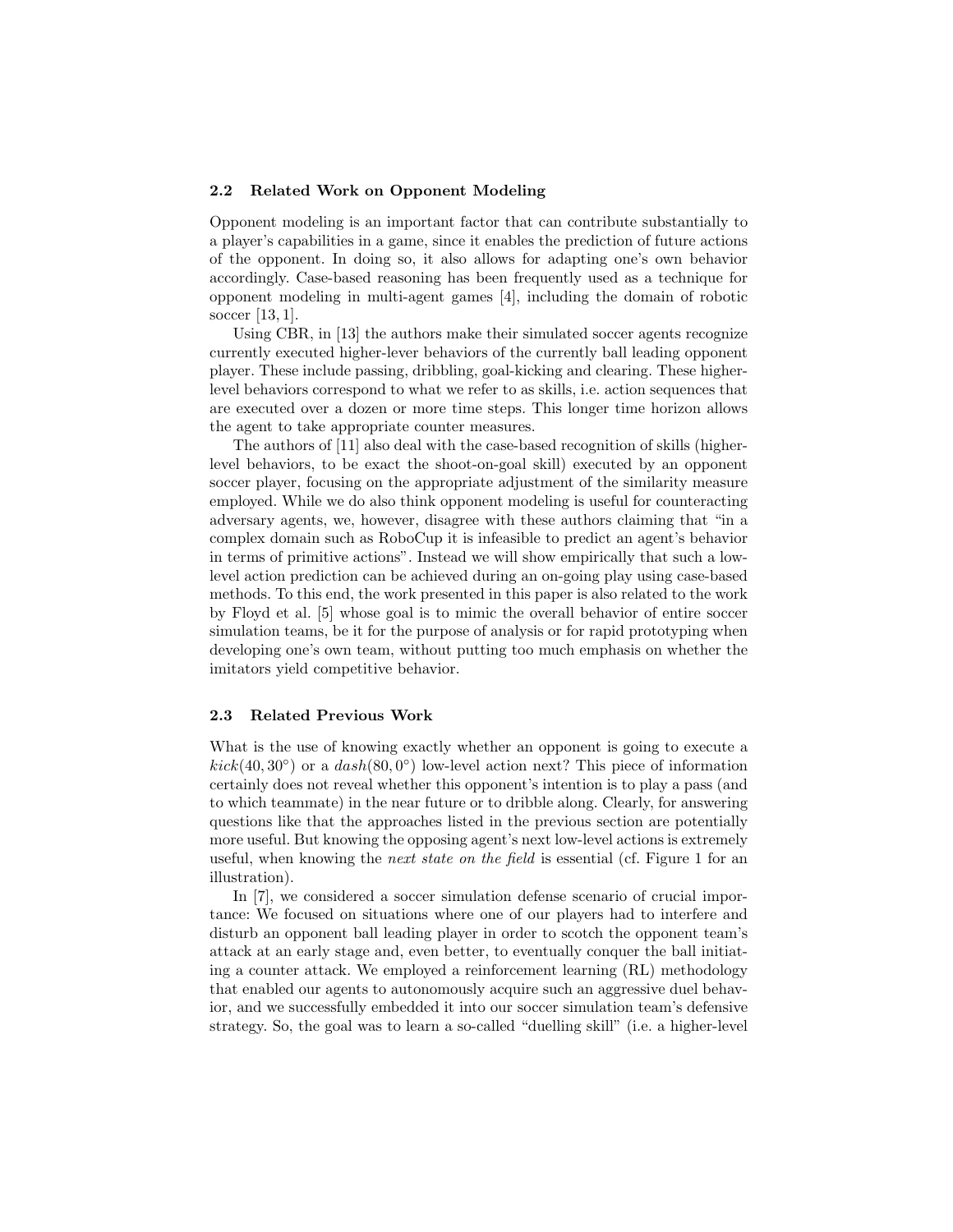## 2.2 Related Work on Opponent Modeling

Opponent modeling is an important factor that can contribute substantially to a player's capabilities in a game, since it enables the prediction of future actions of the opponent. In doing so, it also allows for adapting one's own behavior accordingly. Case-based reasoning has been frequently used as a technique for opponent modeling in multi-agent games [4], including the domain of robotic soccer [13, 1].

Using CBR, in [13] the authors make their simulated soccer agents recognize currently executed higher-lever behaviors of the currently ball leading opponent player. These include passing, dribbling, goal-kicking and clearing. These higherlevel behaviors correspond to what we refer to as skills, i.e. action sequences that are executed over a dozen or more time steps. This longer time horizon allows the agent to take appropriate counter measures.

The authors of [11] also deal with the case-based recognition of skills (higherlevel behaviors, to be exact the shoot-on-goal skill) executed by an opponent soccer player, focusing on the appropriate adjustment of the similarity measure employed. While we do also think opponent modeling is useful for counteracting adversary agents, we, however, disagree with these authors claiming that "in a complex domain such as RoboCup it is infeasible to predict an agent's behavior in terms of primitive actions". Instead we will show empirically that such a lowlevel action prediction can be achieved during an on-going play using case-based methods. To this end, the work presented in this paper is also related to the work by Floyd et al. [5] whose goal is to mimic the overall behavior of entire soccer simulation teams, be it for the purpose of analysis or for rapid prototyping when developing one's own team, without putting too much emphasis on whether the imitators yield competitive behavior.

#### 2.3 Related Previous Work

What is the use of knowing exactly whether an opponent is going to execute a  $kick(40, 30°)$  or a  $dash(80, 0°)$  low-level action next? This piece of information certainly does not reveal whether this opponent's intention is to play a pass (and to which teammate) in the near future or to dribble along. Clearly, for answering questions like that the approaches listed in the previous section are potentially more useful. But knowing the opposing agent's next low-level actions is extremely useful, when knowing the *next state on the field* is essential (cf. Figure 1 for an illustration).

In [7], we considered a soccer simulation defense scenario of crucial importance: We focused on situations where one of our players had to interfere and disturb an opponent ball leading player in order to scotch the opponent team's attack at an early stage and, even better, to eventually conquer the ball initiating a counter attack. We employed a reinforcement learning (RL) methodology that enabled our agents to autonomously acquire such an aggressive duel behavior, and we successfully embedded it into our soccer simulation team's defensive strategy. So, the goal was to learn a so-called "duelling skill" (i.e. a higher-level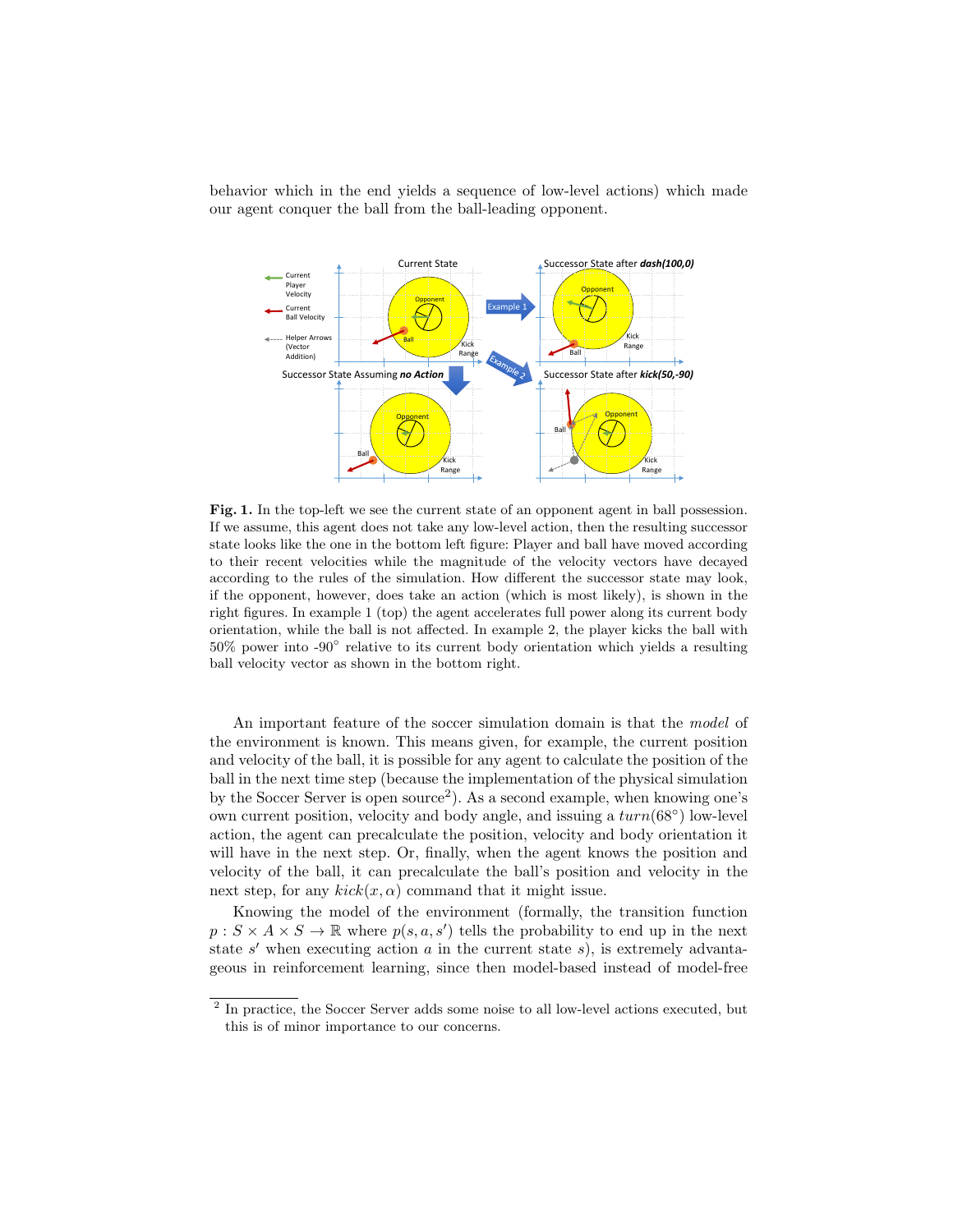behavior which in the end yields a sequence of low-level actions) which made our agent conquer the ball from the ball-leading opponent.



Fig. 1. In the top-left we see the current state of an opponent agent in ball possession. If we assume, this agent does not take any low-level action, then the resulting successor state looks like the one in the bottom left figure: Player and ball have moved according to their recent velocities while the magnitude of the velocity vectors have decayed according to the rules of the simulation. How different the successor state may look, if the opponent, however, does take an action (which is most likely), is shown in the right figures. In example 1 (top) the agent accelerates full power along its current body orientation, while the ball is not affected. In example 2, the player kicks the ball with 50% power into -90° relative to its current body orientation which yields a resulting ball velocity vector as shown in the bottom right.

An important feature of the soccer simulation domain is that the model of the environment is known. This means given, for example, the current position and velocity of the ball, it is possible for any agent to calculate the position of the ball in the next time step (because the implementation of the physical simulation by the Soccer Server is open source<sup>2</sup>). As a second example, when knowing one's own current position, velocity and body angle, and issuing a  $turn(68°)$  low-level action, the agent can precalculate the position, velocity and body orientation it will have in the next step. Or, finally, when the agent knows the position and velocity of the ball, it can precalculate the ball's position and velocity in the next step, for any  $kick(x, \alpha)$  command that it might issue.

Knowing the model of the environment (formally, the transition function  $p: S \times A \times S \to \mathbb{R}$  where  $p(s, a, s')$  tells the probability to end up in the next state  $s'$  when executing action  $a$  in the current state  $s$ ), is extremely advantageous in reinforcement learning, since then model-based instead of model-free

<sup>&</sup>lt;sup>2</sup> In practice, the Soccer Server adds some noise to all low-level actions executed, but this is of minor importance to our concerns.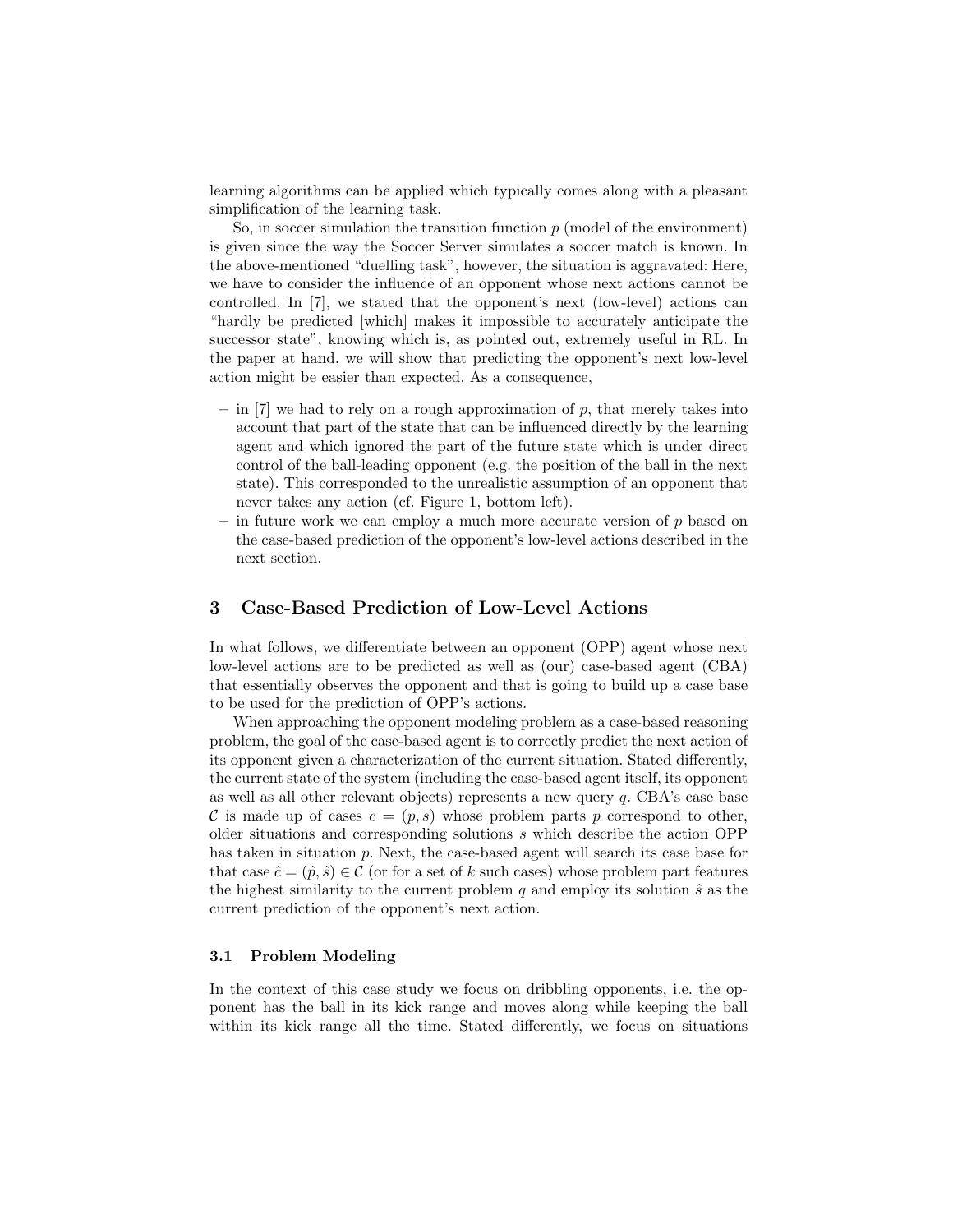learning algorithms can be applied which typically comes along with a pleasant simplification of the learning task.

So, in soccer simulation the transition function  $p$  (model of the environment) is given since the way the Soccer Server simulates a soccer match is known. In the above-mentioned "duelling task", however, the situation is aggravated: Here, we have to consider the influence of an opponent whose next actions cannot be controlled. In [7], we stated that the opponent's next (low-level) actions can "hardly be predicted [which] makes it impossible to accurately anticipate the successor state", knowing which is, as pointed out, extremely useful in RL. In the paper at hand, we will show that predicting the opponent's next low-level action might be easier than expected. As a consequence,

- $-$  in [7] we had to rely on a rough approximation of p, that merely takes into account that part of the state that can be influenced directly by the learning agent and which ignored the part of the future state which is under direct control of the ball-leading opponent (e.g. the position of the ball in the next state). This corresponded to the unrealistic assumption of an opponent that never takes any action (cf. Figure 1, bottom left).
- in future work we can employ a much more accurate version of  $p$  based on the case-based prediction of the opponent's low-level actions described in the next section.

# 3 Case-Based Prediction of Low-Level Actions

In what follows, we differentiate between an opponent (OPP) agent whose next low-level actions are to be predicted as well as (our) case-based agent (CBA) that essentially observes the opponent and that is going to build up a case base to be used for the prediction of OPP's actions.

When approaching the opponent modeling problem as a case-based reasoning problem, the goal of the case-based agent is to correctly predict the next action of its opponent given a characterization of the current situation. Stated differently, the current state of the system (including the case-based agent itself, its opponent as well as all other relevant objects) represents a new query  $q$ . CBA's case base C is made up of cases  $c = (p, s)$  whose problem parts p correspond to other, older situations and corresponding solutions s which describe the action OPP has taken in situation p. Next, the case-based agent will search its case base for that case  $\hat{c} = (\hat{p}, \hat{s}) \in \mathcal{C}$  (or for a set of k such cases) whose problem part features the highest similarity to the current problem  $q$  and employ its solution  $\hat{s}$  as the current prediction of the opponent's next action.

## 3.1 Problem Modeling

In the context of this case study we focus on dribbling opponents, i.e. the opponent has the ball in its kick range and moves along while keeping the ball within its kick range all the time. Stated differently, we focus on situations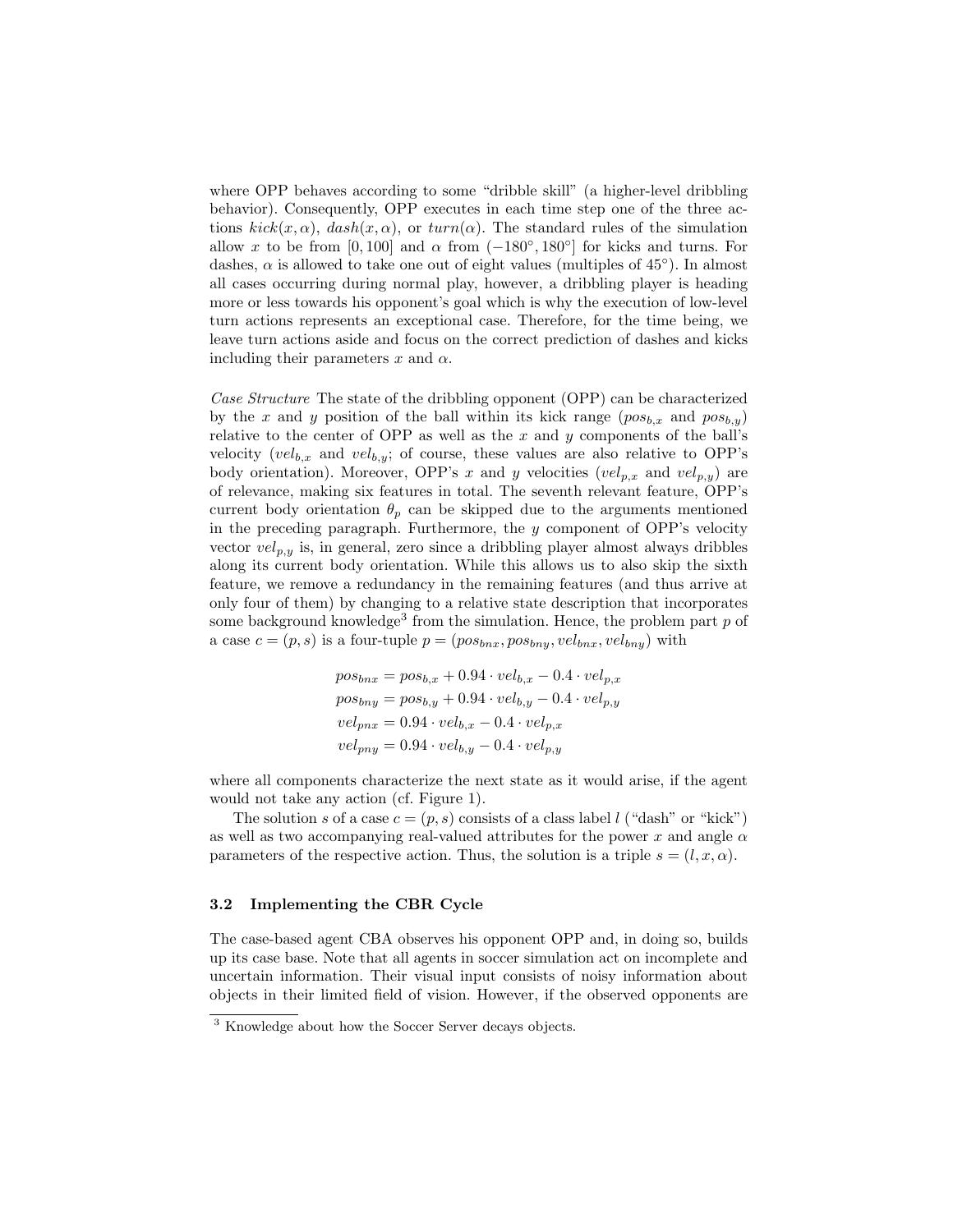where OPP behaves according to some "dribble skill" (a higher-level dribbling behavior). Consequently, OPP executes in each time step one of the three actions  $kick(x, \alpha)$ ,  $dash(x, \alpha)$ , or  $turn(\alpha)$ . The standard rules of the simulation allow x to be from [0,100] and  $\alpha$  from  $(-180^{\circ}, 180^{\circ}]$  for kicks and turns. For dashes,  $\alpha$  is allowed to take one out of eight values (multiples of 45°). In almost all cases occurring during normal play, however, a dribbling player is heading more or less towards his opponent's goal which is why the execution of low-level turn actions represents an exceptional case. Therefore, for the time being, we leave turn actions aside and focus on the correct prediction of dashes and kicks including their parameters x and  $\alpha$ .

Case Structure The state of the dribbling opponent (OPP) can be characterized by the x and y position of the ball within its kick range  $(pos_{b,x}$  and  $pos_{b,y})$ relative to the center of OPP as well as the  $x$  and  $y$  components of the ball's velocity  $(vel_{b,x}$  and  $vel_{b,y}$ ; of course, these values are also relative to OPP's body orientation). Moreover, OPP's x and y velocities  $(vel_{p,x}$  and  $vel_{p,y})$  are of relevance, making six features in total. The seventh relevant feature, OPP's current body orientation  $\theta_p$  can be skipped due to the arguments mentioned in the preceding paragraph. Furthermore, the  $y$  component of OPP's velocity vector  $vel_{p,y}$  is, in general, zero since a dribbling player almost always dribbles along its current body orientation. While this allows us to also skip the sixth feature, we remove a redundancy in the remaining features (and thus arrive at only four of them) by changing to a relative state description that incorporates some background knowledge<sup>3</sup> from the simulation. Hence, the problem part  $p$  of a case  $c = (p, s)$  is a four-tuple  $p = (pos_{bnx}, pos_{bny}, vel_{bnx}, vel_{bny})$  with

$$
pos_{bnx} = pos_{b,x} + 0.94 \cdot vel_{b,x} - 0.4 \cdot vel_{p,x}
$$
  
\n
$$
pos_{bny} = pos_{b,y} + 0.94 \cdot vel_{b,y} - 0.4 \cdot vel_{p,y}
$$
  
\n
$$
vel_{pnx} = 0.94 \cdot vel_{b,x} - 0.4 \cdot vel_{p,x}
$$
  
\n
$$
vel_{pny} = 0.94 \cdot vel_{b,y} - 0.4 \cdot vel_{p,y}
$$

where all components characterize the next state as it would arise, if the agent would not take any action (cf. Figure 1).

The solution s of a case  $c = (p, s)$  consists of a class label l ("dash" or "kick") as well as two accompanying real-valued attributes for the power x and angle  $\alpha$ parameters of the respective action. Thus, the solution is a triple  $s = (l, x, \alpha)$ .

### 3.2 Implementing the CBR Cycle

The case-based agent CBA observes his opponent OPP and, in doing so, builds up its case base. Note that all agents in soccer simulation act on incomplete and uncertain information. Their visual input consists of noisy information about objects in their limited field of vision. However, if the observed opponents are

<sup>3</sup> Knowledge about how the Soccer Server decays objects.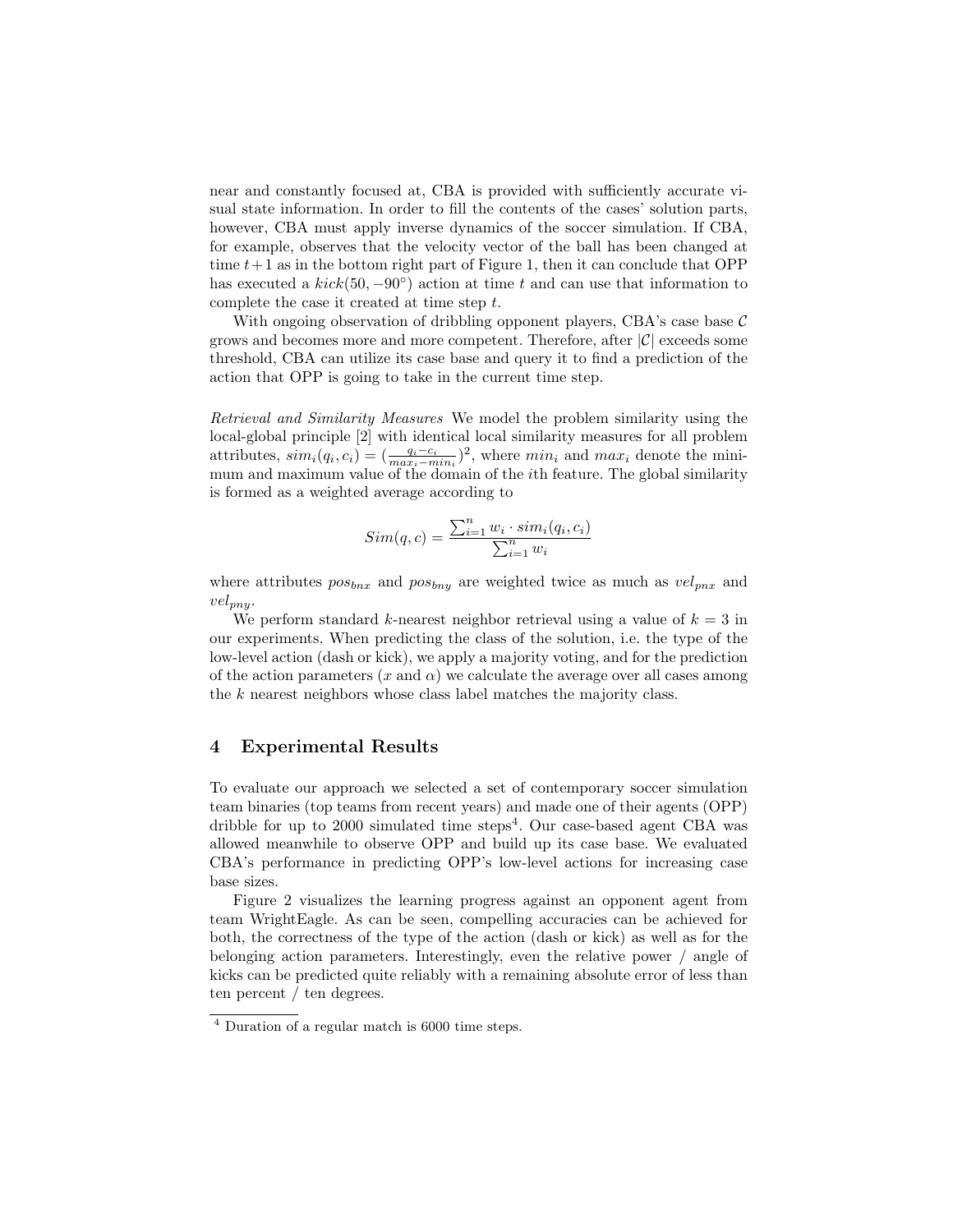near and constantly focused at, CBA is provided with sufficiently accurate visual state information. In order to fill the contents of the cases' solution parts, however, CBA must apply inverse dynamics of the soccer simulation. If CBA, for example, observes that the velocity vector of the ball has been changed at time  $t+1$  as in the bottom right part of Figure 1, then it can conclude that OPP has executed a  $kick(50, -90°)$  action at time t and can use that information to complete the case it created at time step t.

With ongoing observation of dribbling opponent players, CBA's case base  $C$ grows and becomes more and more competent. Therefore, after  $|\mathcal{C}|$  exceeds some threshold, CBA can utilize its case base and query it to find a prediction of the action that OPP is going to take in the current time step.

Retrieval and Similarity Measures We model the problem similarity using the local-global principle [2] with identical local similarity measures for all problem attributes,  $sim_i(q_i, c_i) = (\frac{q_i - c_i}{max_i - min_i})^2$ , where  $min_i$  and  $max_i$  denote the minimum and maximum value of the domain of the ith feature. The global similarity is formed as a weighted average according to

$$
Sim(q, c) = \frac{\sum_{i=1}^{n} w_i \cdot sim_i(q_i, c_i)}{\sum_{i=1}^{n} w_i}
$$

where attributes  $pos_{bnx}$  and  $pos_{bny}$  are weighted twice as much as  $vel_{pnx}$  and  $vel_{pnu}$ .

We perform standard k-nearest neighbor retrieval using a value of  $k = 3$  in our experiments. When predicting the class of the solution, i.e. the type of the low-level action (dash or kick), we apply a majority voting, and for the prediction of the action parameters  $(x \text{ and } \alpha)$  we calculate the average over all cases among the k nearest neighbors whose class label matches the majority class.

## 4 Experimental Results

To evaluate our approach we selected a set of contemporary soccer simulation team binaries (top teams from recent years) and made one of their agents (OPP) dribble for up to 2000 simulated time steps<sup>4</sup>. Our case-based agent CBA was allowed meanwhile to observe OPP and build up its case base. We evaluated CBA's performance in predicting OPP's low-level actions for increasing case base sizes.

Figure 2 visualizes the learning progress against an opponent agent from team WrightEagle. As can be seen, compelling accuracies can be achieved for both, the correctness of the type of the action (dash or kick) as well as for the belonging action parameters. Interestingly, even the relative power / angle of kicks can be predicted quite reliably with a remaining absolute error of less than ten percent / ten degrees.

<sup>4</sup> Duration of a regular match is 6000 time steps.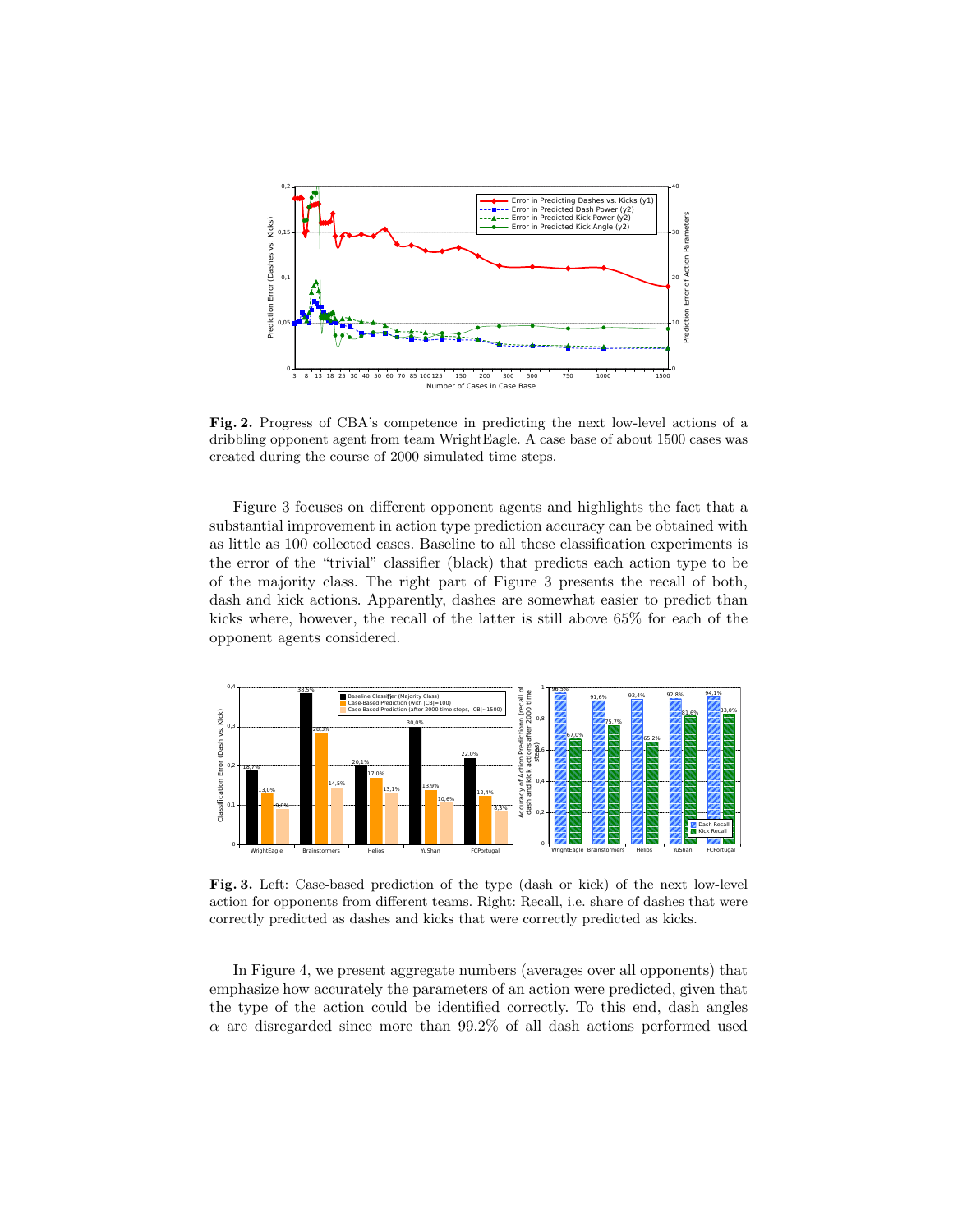

Fig. 2. Progress of CBA's competence in predicting the next low-level actions of a dribbling opponent agent from team WrightEagle. A case base of about 1500 cases was created during the course of 2000 simulated time steps.

Figure 3 focuses on different opponent agents and highlights the fact that a substantial improvement in action type prediction accuracy can be obtained with as little as 100 collected cases. Baseline to all these classification experiments is the error of the "trivial" classifier (black) that predicts each action type to be of the majority class. The right part of Figure 3 presents the recall of both, dash and kick actions. Apparently, dashes are somewhat easier to predict than kicks where, however, the recall of the latter is still above 65% for each of the opponent agents considered.



Fig. 3. Left: Case-based prediction of the type (dash or kick) of the next low-level action for opponents from different teams. Right: Recall, i.e. share of dashes that were correctly predicted as dashes and kicks that were correctly predicted as kicks.

In Figure 4, we present aggregate numbers (averages over all opponents) that emphasize how accurately the parameters of an action were predicted, given that the type of the action could be identified correctly. To this end, dash angles  $\alpha$  are disregarded since more than 99.2% of all dash actions performed used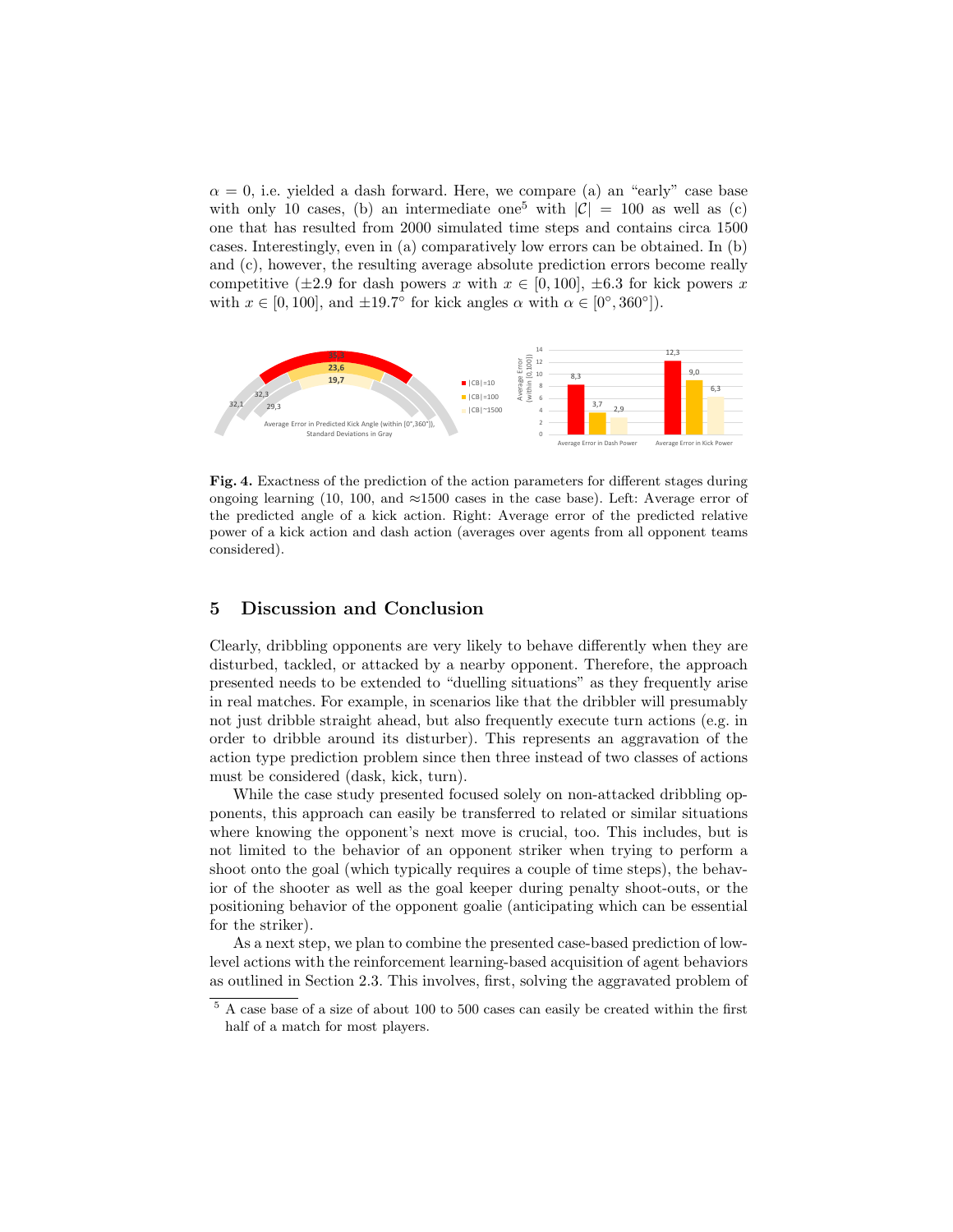$\alpha = 0$ , i.e. yielded a dash forward. Here, we compare (a) an "early" case base with only 10 cases, (b) an intermediate one<sup>5</sup> with  $|\mathcal{C}| = 100$  as well as (c) one that has resulted from 2000 simulated time steps and contains circa 1500 cases. Interestingly, even in (a) comparatively low errors can be obtained. In (b) and (c), however, the resulting average absolute prediction errors become really competitive ( $\pm 2.9$  for dash powers x with  $x \in [0, 100]$ ,  $\pm 6.3$  for kick powers x with  $x \in [0, 100]$ , and  $\pm 19.7^{\circ}$  for kick angles  $\alpha$  with  $\alpha \in [0^{\circ}, 360^{\circ}]$ .



Fig. 4. Exactness of the prediction of the action parameters for different stages during ongoing learning (10, 100, and  $\approx$ 1500 cases in the case base). Left: Average error of the predicted angle of a kick action. Right: Average error of the predicted relative power of a kick action and dash action (averages over agents from all opponent teams considered).

## 5 Discussion and Conclusion

Clearly, dribbling opponents are very likely to behave differently when they are disturbed, tackled, or attacked by a nearby opponent. Therefore, the approach presented needs to be extended to "duelling situations" as they frequently arise in real matches. For example, in scenarios like that the dribbler will presumably not just dribble straight ahead, but also frequently execute turn actions (e.g. in order to dribble around its disturber). This represents an aggravation of the action type prediction problem since then three instead of two classes of actions must be considered (dask, kick, turn).

While the case study presented focused solely on non-attacked dribbling opponents, this approach can easily be transferred to related or similar situations where knowing the opponent's next move is crucial, too. This includes, but is not limited to the behavior of an opponent striker when trying to perform a shoot onto the goal (which typically requires a couple of time steps), the behavior of the shooter as well as the goal keeper during penalty shoot-outs, or the positioning behavior of the opponent goalie (anticipating which can be essential for the striker).

As a next step, we plan to combine the presented case-based prediction of lowlevel actions with the reinforcement learning-based acquisition of agent behaviors as outlined in Section 2.3. This involves, first, solving the aggravated problem of

 $5$  A case base of a size of about 100 to 500 cases can easily be created within the first half of a match for most players.